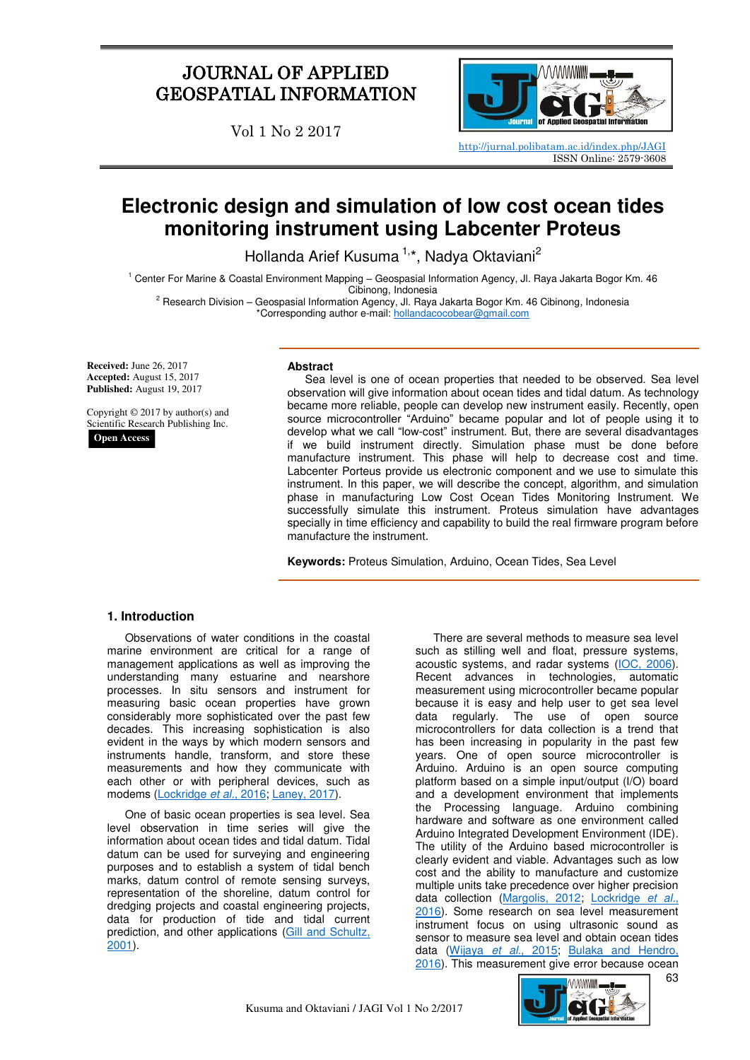Vol 1 No 2 2017



http://jurnal.polibatam.ac.id/index.php/JAGI ISSN Online: 2579-3608

# **Electronic design and simulation of low cost ocean tides monitoring instrument using Labcenter Proteus**

Hollanda Arief Kusuma<sup>1,\*</sup>, Nadya Oktaviani<sup>2</sup>

1 Center For Marine & Coastal Environment Mapping – Geospasial Information Agency, Jl. Raya Jakarta Bogor Km. 46 Cibinong, Indonesia

2 Research Division – Geospasial Information Agency, Jl. Raya Jakarta Bogor Km. 46 Cibinong, Indonesia \*Corresponding author e-mail[: hollandacocobear@gmail.com](mailto:hollandacocobear@gmail.com)

**Received:** June 26, 2017 **Accepted:** August 15, 2017 **Published:** August 19, 2017

Copyright © 2017 by author(s) and Scientific Research Publishing Inc. **Open Access**

**Abstract** 

Sea level is one of ocean properties that needed to be observed. Sea level observation will give information about ocean tides and tidal datum. As technology became more reliable, people can develop new instrument easily. Recently, open source microcontroller "Arduino" became popular and lot of people using it to develop what we call "low-cost" instrument. But, there are several disadvantages if we build instrument directly. Simulation phase must be done before manufacture instrument. This phase will help to decrease cost and time. Labcenter Porteus provide us electronic component and we use to simulate this instrument. In this paper, we will describe the concept, algorithm, and simulation phase in manufacturing Low Cost Ocean Tides Monitoring Instrument. We successfully simulate this instrument. Proteus simulation have advantages specially in time efficiency and capability to build the real firmware program before manufacture the instrument.

**Keywords:** Proteus Simulation, Arduino, Ocean Tides, Sea Level

### **1. Introduction**

Observations of water conditions in the coastal marine environment are critical for a range of management applications as well as improving the understanding many estuarine and nearshore processes. In situ sensors and instrument for measuring basic ocean properties have grown considerably more sophisticated over the past few decades. This increasing sophistication is also evident in the ways by which modern sensors and instruments handle, transform, and store these measurements and how they communicate with each other or with peripheral devices, such as modems [\(Lockridge](#page-5-0) *et al.*, 2016; [Laney, 2017\)](#page-5-1).

One of basic ocean properties is sea level. Sea level observation in time series will give the information about ocean tides and tidal datum. Tidal datum can be used for surveying and engineering purposes and to establish a system of tidal bench marks, datum control of remote sensing surveys, representation of the shoreline, datum control for dredging projects and coastal engineering projects, data for production of tide and tidal current prediction, and other applications [\(Gill and Schultz,](#page-5-2)  [2001\)](#page-5-2).

There are several methods to measure sea level such as stilling well and float, pressure systems, acoustic systems, and radar systems [\(IOC, 2006\)](#page-5-3). Recent advances in technologies, automatic measurement using microcontroller became popular because it is easy and help user to get sea level data regularly. The use of open source microcontrollers for data collection is a trend that has been increasing in popularity in the past few years. One of open source microcontroller is Arduino. Arduino is an open source computing platform based on a simple input/output (I/O) board and a development environment that implements the Processing language. Arduino combining hardware and software as one environment called Arduino Integrated Development Environment (IDE). The utility of the Arduino based microcontroller is clearly evident and viable. Advantages such as low cost and the ability to manufacture and customize multiple units take precedence over higher precision data collection [\(Margolis, 2012;](#page-5-4) [Lockridge](#page-5-0) *et al.*, [2016\)](#page-5-0). Some research on sea level measurement instrument focus on using ultrasonic sound as sensor to measure sea level and obtain ocean tides data [\(Wijaya](#page-5-5) *et al.*, 2015; [Bulaka and Hendro,](#page-5-6)  [2016\)](#page-5-6). This measurement give error because ocean

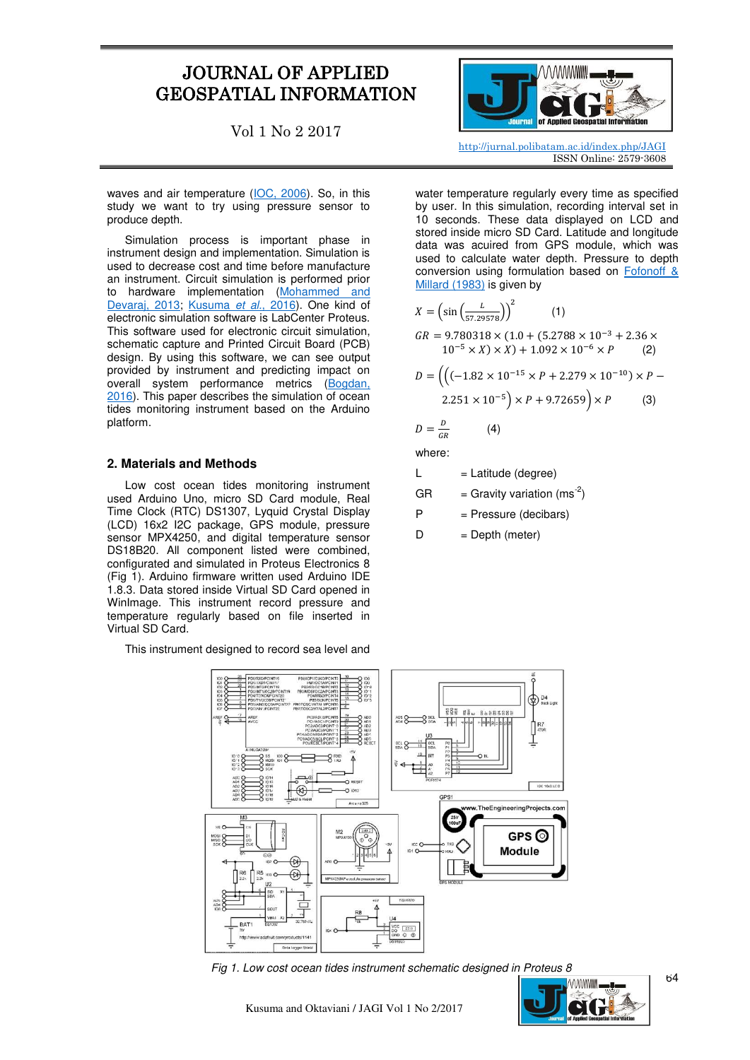Vol 1 No 2 2017

waves and air temperature [\(IOC, 2006\)](#page-5-3). So, in this study we want to try using pressure sensor to produce depth.

Simulation process is important phase in instrument design and implementation. Simulation is used to decrease cost and time before manufacture an instrument. Circuit simulation is performed prior to hardware implementation (Mohammed and [Devaraj, 2013;](#page-5-7) [Kusuma](#page-5-8) *et al.*, 2016). One kind of electronic simulation software is LabCenter Proteus. This software used for electronic circuit simulation, schematic capture and Printed Circuit Board (PCB) design. By using this software, we can see output provided by instrument and predicting impact on overall system performance metrics (Bogdan, [2016\)](#page-5-9). This paper describes the simulation of ocean tides monitoring instrument based on the Arduino platform.

#### **2. Materials and Methods**

Low cost ocean tides monitoring instrument used Arduino Uno, micro SD Card module, Real Time Clock (RTC) DS1307, Lyquid Crystal Display (LCD) 16x2 I2C package, GPS module, pressure sensor MPX4250, and digital temperature sensor DS18B20. All component listed were combined, configurated and simulated in Proteus Electronics 8 [\(Fig 1\)](#page-1-0). Arduino firmware written used Arduino IDE 1.8.3. Data stored inside Virtual SD Card opened in WinImage. This instrument record pressure and temperature regularly based on file inserted in Virtual SD Card.

This instrument designed to record sea level and



http://jurnal.polibatam.ac.id/index.php/JAGI ISSN Online: 2579-3608

water temperature regularly every time as specified by user. In this simulation, recording interval set in 10 seconds. These data displayed on LCD and stored inside micro SD Card. Latitude and longitude data was acuired from GPS module, which was used to calculate water depth. Pressure to depth conversion using formulation based on [Fofonoff &](#page-5-10)  [Millard \(1983\)](#page-5-10) is given by

$$
X = \left(\sin\left(\frac{L}{57.29578}\right)\right)^2\tag{1}
$$

 $GR = 9.780318 \times (1.0 + (5.2788 \times 10^{-3} + 2.36 \times$  $10^{-5} \times X$ )  $\times X$ ) + 1.092  $\times 10^{-6} \times P$  (2)

$$
D = \left( \left( (-1.82 \times 10^{-15} \times P + 2.279 \times 10^{-10}) \times P - 2.251 \times 10^{-5} \right) \times P + 9.72659 \right) \times P \tag{3}
$$

$$
D=\frac{D}{GR} \qquad (4)
$$

where:

 $L = Latitude$  (degree)

$$
GR = Gravity variation (ms-2)
$$

 $P =$  Pressure (decibars)

 $D = \text{Depth (meter)}$ 



<span id="page-1-0"></span>*Fig 1. Low cost ocean tides instrument schematic designed in Proteus 8* 

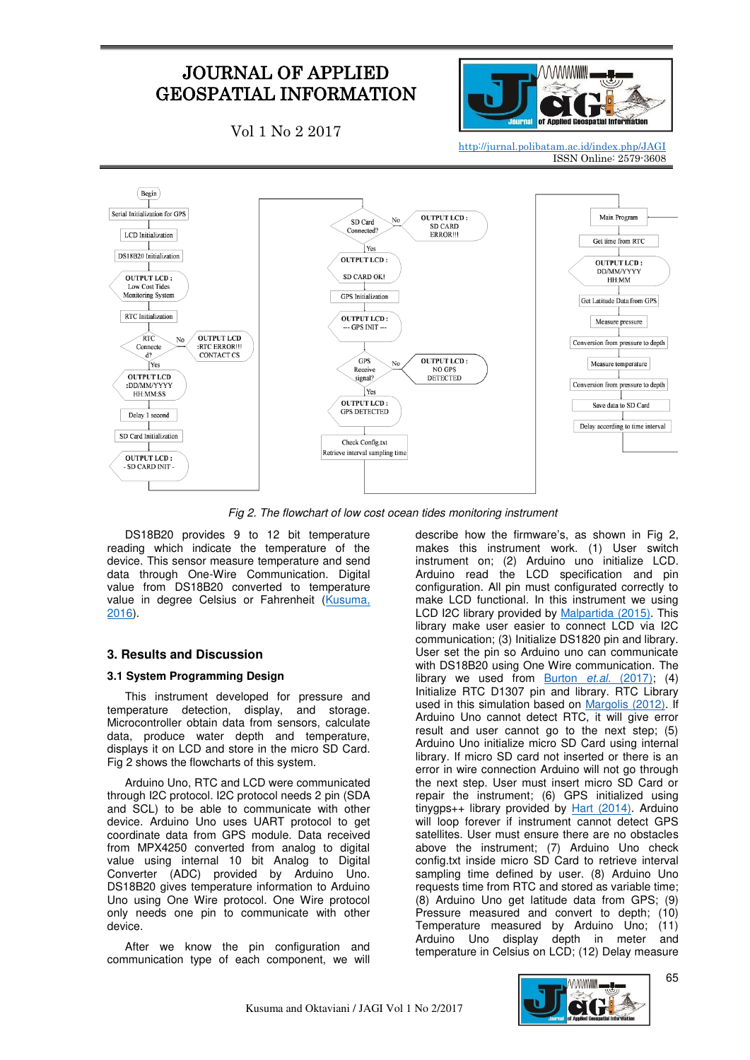Vol 1 No 2 2017



http://jurnal.polibatam.ac.id/index.php/JAGI ISSN Online: 2579-3608



*Fig 2. The flowchart of low cost ocean tides monitoring instrument*

<span id="page-2-0"></span>DS18B20 provides 9 to 12 bit temperature reading which indicate the temperature of the device. This sensor measure temperature and send data through One-Wire Communication. Digital value from DS18B20 converted to temperature value in degree Celsius or Fahrenheit [\(Kusuma,](#page-5-3)  [2016\)](#page-5-3).

### **3. Results and Discussion**

### **3.1 System Programming Design**

This instrument developed for pressure and temperature detection, display, and storage. Microcontroller obtain data from sensors, calculate data, produce water depth and temperature, displays it on LCD and store in the micro SD Card. [Fig 2](#page-2-0) shows the flowcharts of this system.

Arduino Uno, RTC and LCD were communicated through I2C protocol. I2C protocol needs 2 pin (SDA and SCL) to be able to communicate with other device. Arduino Uno uses UART protocol to get coordinate data from GPS module. Data received from MPX4250 converted from analog to digital value using internal 10 bit Analog to Digital Converter (ADC) provided by Arduino Uno. DS18B20 gives temperature information to Arduino Uno using One Wire protocol. One Wire protocol only needs one pin to communicate with other device.

After we know the pin configuration and communication type of each component, we will describe how the firmware's, as shown in [Fig 2,](#page-2-0) makes this instrument work. (1) User switch instrument on; (2) Arduino uno initialize LCD. Arduino read the LCD specification and pin configuration. All pin must configurated correctly to make LCD functional. In this instrument we using LCD I2C library provided by [Malpartida \(2015\).](#page-5-4) This library make user easier to connect LCD via I2C communication; (3) Initialize DS1820 pin and library. User set the pin so Arduino uno can communicate with DS18B20 using One Wire communication. The library we used from **[Burton](#page-5-10)** *et.al.* (2017); (4) Initialize RTC D1307 pin and library. RTC Library used in this simulation based on [Margolis \(2012\).](#page-5-11) If Arduino Uno cannot detect RTC, it will give error result and user cannot go to the next step; (5) Arduino Uno initialize micro SD Card using internal library. If micro SD card not inserted or there is an error in wire connection Arduino will not go through the next step. User must insert micro SD Card or repair the instrument; (6) GPS initialized using tinygps++ library provided by [Hart \(2014\).](#page-5-12) Arduino will loop forever if instrument cannot detect GPS satellites. User must ensure there are no obstacles above the instrument; (7) Arduino Uno check config.txt inside micro SD Card to retrieve interval sampling time defined by user. (8) Arduino Uno requests time from RTC and stored as variable time; (8) Arduino Uno get latitude data from GPS; (9) Pressure measured and convert to depth; (10) Temperature measured by Arduino Uno; (11) Arduino Uno display depth in meter and temperature in Celsius on LCD; (12) Delay measure

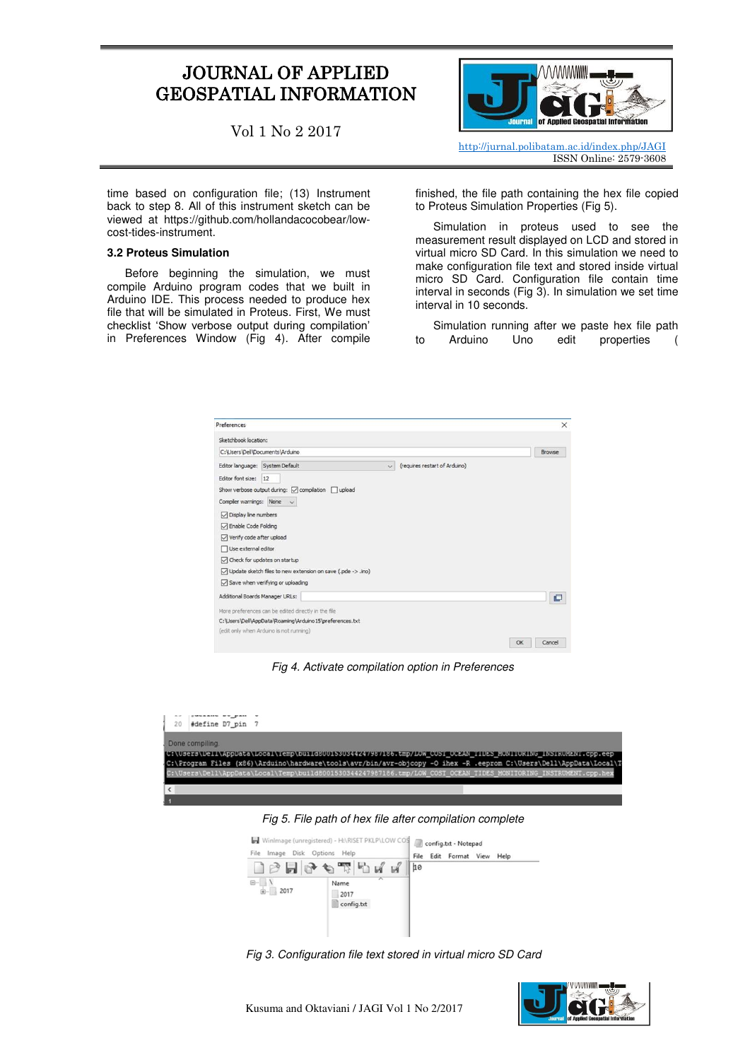Vol 1 No 2 2017

time based on configuration file; (13) Instrument back to step 8. All of this instrument sketch can be viewed at https://github.com/hollandacocobear/lowcost-tides-instrument.

#### **3.2 Proteus Simulation**

Before beginning the simulation, we must compile Arduino program codes that we built in Arduino IDE. This process needed to produce hex file that will be simulated in Proteus. First, We must checklist "Show verbose output during compilation" in Preferences Window [\(Fig 4\)](#page-3-0). After compile

finished, the file path containing the hex file copied

to Proteus Simulation Properties [\(Fig 5\)](#page-3-1).

http://jurnal.polibatam.ac.id/index.php/JAGI

AAAMMMWW

ISSN Online: 2579-3608

of Applied Geospatial Information

Simulation in proteus used to see the measurement result displayed on LCD and stored in virtual micro SD Card. In this simulation we need to make configuration file text and stored inside virtual micro SD Card. Configuration file contain time interval in seconds [\(Fig 3\)](#page-3-2). In simulation we set time interval in 10 seconds.

Simulation running after we paste hex file path to Arduino Uno edit properties (

| Preferences                                                                                                                  | $\times$                                                                                                                    |              |                               |    |        |
|------------------------------------------------------------------------------------------------------------------------------|-----------------------------------------------------------------------------------------------------------------------------|--------------|-------------------------------|----|--------|
| Sketchbook location:                                                                                                         |                                                                                                                             |              |                               |    |        |
| C:\Users\Dell\Documents\Arduino                                                                                              |                                                                                                                             | Browse       |                               |    |        |
| Editor font size: 12<br>Compiler warnings: None<br>○ Display line numbers<br>Thable Code Folding<br>Verify code after upload | Editor language: System Default<br>Show verbose output during: compilation upload<br>$\ddot{\sim}$                          | $\checkmark$ | (requires restart of Arduino) |    |        |
| Use external editor                                                                                                          | $\triangledown$ Check for updates on startup<br>$\triangledown$ Update sketch files to new extension on save (.pde -> .ino) |              |                               |    |        |
|                                                                                                                              | Save when verifying or uploading                                                                                            |              |                               |    |        |
|                                                                                                                              | Additional Boards Manager URLs:                                                                                             |              |                               |    | O      |
|                                                                                                                              | More preferences can be edited directly in the file                                                                         |              |                               |    |        |
|                                                                                                                              | C:\Users\Dell\AppData\Roaming\Arduino15\preferences.txt<br>(edit only when Arduino is not running)                          |              |                               |    |        |
|                                                                                                                              |                                                                                                                             |              |                               | OK | Cancel |

<span id="page-3-0"></span>*Fig 4. Activate compilation option in Preferences* 



*Fig 5. File path of hex file after compilation complete* 

<span id="page-3-1"></span>

<span id="page-3-2"></span>*Fig 3. Configuration file text stored in virtual micro SD Card* 

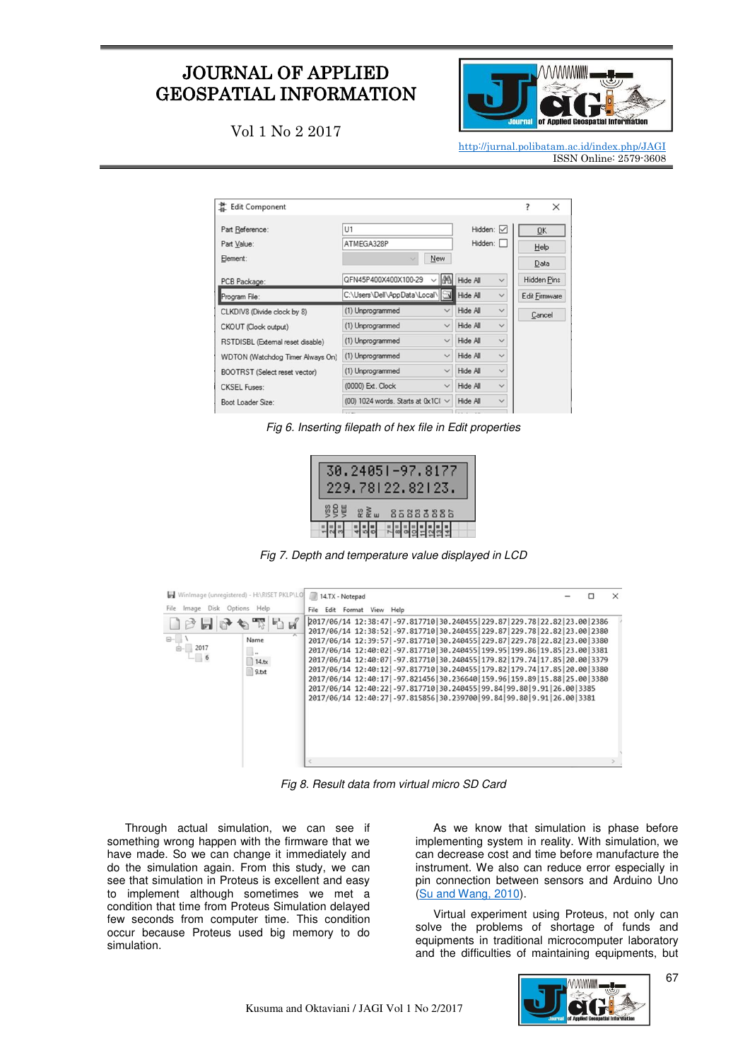

Vol 1 No 2 2017

http://jurnal.polibatam.ac.id/index.php/JAGI ISSN Online: 2579-3608

| Edit Component                    |                                         |                      |              |                           |                    | $\times$ |
|-----------------------------------|-----------------------------------------|----------------------|--------------|---------------------------|--------------------|----------|
| Part Reference:                   | U <sub>1</sub>                          | Hidden: V<br>Hidden: |              | <b>OK</b><br>Help<br>Data |                    |          |
| Part Value:                       | ATMEGA328P                              |                      |              |                           |                    |          |
| Element:                          | New                                     |                      |              |                           |                    |          |
| PCB Package:                      | QFN45P400X400X100-29<br>$\checkmark$    | 186                  | Hide All     | $\checkmark$              | <b>Hidden Pins</b> |          |
| Program File:                     | C:\Users\Dell\AppData\Local\            |                      | Hide All     | $\checkmark$              | Edit Firmware      |          |
| CLKDIV8 (Divide clock by 8)       | (1) Unprogrammed                        | Hide All             | $\checkmark$ | Cancel                    |                    |          |
| CKOUT (Clock output)              | (1) Unprogrammed                        | $\checkmark$         | Hide All     | $\ddotmark$               |                    |          |
| RSTDISBL (External reset disable) | (1) Unprogrammed                        | $\checkmark$         | Hide All     | $\ddotmark$               |                    |          |
| WDTON (Watchdog Timer Always On)  | (1) Unprogrammed<br>$\checkmark$        |                      | Hide All     | $\ddotmark$               |                    |          |
| BOOTRST (Select reset vector)     | (1) Unprogrammed<br>$\checkmark$        |                      | Hide All     | $\ddot{\phantom{0}}$      |                    |          |
| <b>CKSEL Fuses:</b>               | (0000) Ext. Clock                       | $\checkmark$         | Hide All     | $\checkmark$              |                    |          |
| Boot Loader Size:                 | (00) 1024 words. Starts at $0x1C1 \sim$ |                      | Hide All     | $\checkmark$              |                    |          |

*Fig 6. Inserting filepath of hex file in Edit properties* 



*Fig 7. Depth and temperature value displayed in LCD*



*Fig 8. Result data from virtual micro SD Card*

Through actual simulation, we can see if something wrong happen with the firmware that we have made. So we can change it immediately and do the simulation again. From this study, we can see that simulation in Proteus is excellent and easy to implement although sometimes we met a condition that time from Proteus Simulation delayed few seconds from computer time. This condition occur because Proteus used big memory to do simulation.

As we know that simulation is phase before implementing system in reality. With simulation, we can decrease cost and time before manufacture the instrument. We also can reduce error especially in pin connection between sensors and Arduino Uno [\(Su and Wang, 2010\)](#page-5-5).

Virtual experiment using Proteus, not only can solve the problems of shortage of funds and equipments in traditional microcomputer laboratory and the difficulties of maintaining equipments, but

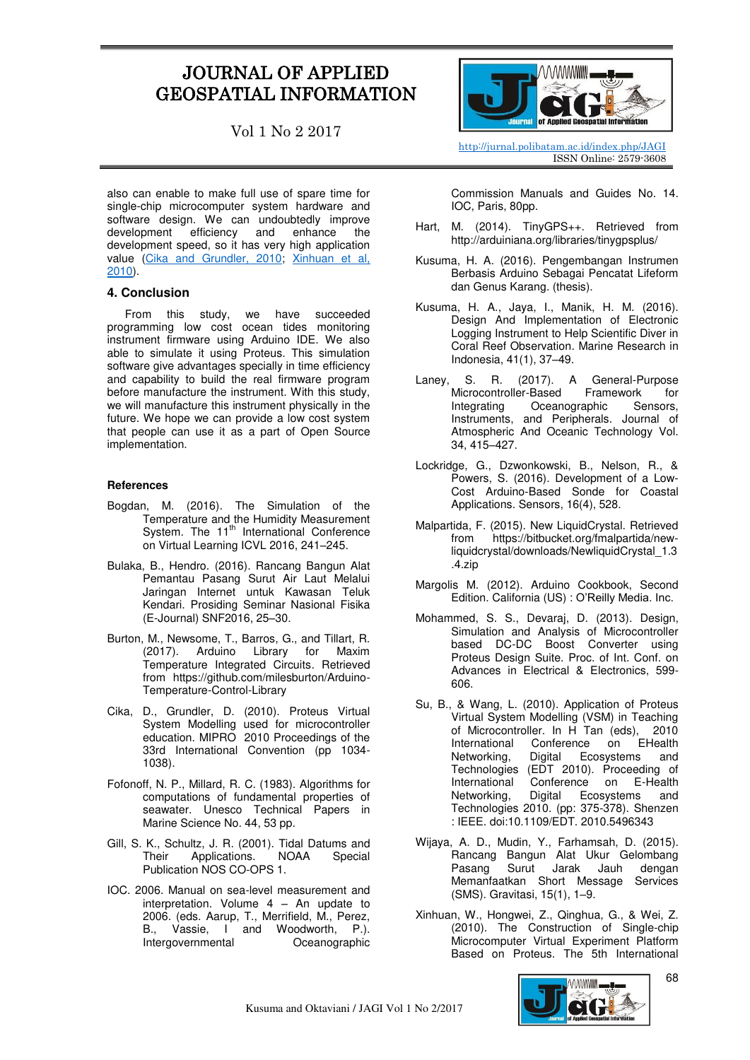Vol 1 No 2 2017

also can enable to make full use of spare time for single-chip microcomputer system hardware and software design. We can undoubtedly improve development efficiency and enhance the development speed, so it has very high application value [\(Cika and Grundler, 2010;](#page-5-10) [Xinhuan et al,](#page-5-13)  [2010\)](#page-5-13).

#### **4. Conclusion**

From this study, we have succeeded programming low cost ocean tides monitoring instrument firmware using Arduino IDE. We also able to simulate it using Proteus. This simulation software give advantages specially in time efficiency and capability to build the real firmware program before manufacture the instrument. With this study, we will manufacture this instrument physically in the future. We hope we can provide a low cost system that people can use it as a part of Open Source implementation.

#### **References**

- <span id="page-5-9"></span>Bogdan, M. (2016). The Simulation of the Temperature and the Humidity Measurement System. The 11<sup>th</sup> International Conference on Virtual Learning ICVL 2016, 241–245.
- <span id="page-5-6"></span>Bulaka, B., Hendro. (2016). Rancang Bangun Alat Pemantau Pasang Surut Air Laut Melalui Jaringan Internet untuk Kawasan Teluk Kendari. Prosiding Seminar Nasional Fisika (E-Journal) SNF2016, 25–30.
- <span id="page-5-10"></span>Burton, M., Newsome, T., Barros, G., and Tillart, R. (2017). Arduino Library for Maxim Temperature Integrated Circuits. Retrieved from https://github.com/milesburton/Arduino-Temperature-Control-Library
- Cika, D., Grundler, D. (2010). Proteus Virtual System Modelling used for microcontroller education. MIPRO 2010 Proceedings of the 33rd International Convention (pp 1034- 1038).
- Fofonoff, N. P., Millard, R. C. (1983). Algorithms for computations of fundamental properties of seawater. Unesco Technical Papers in Marine Science No. 44, 53 pp.
- <span id="page-5-2"></span>Gill, S. K., Schultz, J. R. (2001). Tidal Datums and Their Applications. NOAA Special Publication NOS CO-OPS 1.
- <span id="page-5-3"></span>IOC. 2006. Manual on sea-level measurement and interpretation. Volume 4 – An update to 2006. (eds. Aarup, T., Merrifield, M., Perez, B., Vassie, I and Woodworth, P.). Intergovernmental Oceanographic



http://jurnal.polibatam.ac.id/index.php/JAGI ISSN Online: 2579-3608

Commission Manuals and Guides No. 14. IOC, Paris, 80pp.

- <span id="page-5-12"></span>Hart, M. (2014). TinyGPS++. Retrieved from http://arduiniana.org/libraries/tinygpsplus/
- Kusuma, H. A. (2016). Pengembangan Instrumen Berbasis Arduino Sebagai Pencatat Lifeform dan Genus Karang. (thesis).
- <span id="page-5-8"></span>Kusuma, H. A., Jaya, I., Manik, H. M. (2016). Design And Implementation of Electronic Logging Instrument to Help Scientific Diver in Coral Reef Observation. Marine Research in Indonesia, 41(1), 37–49.
- <span id="page-5-1"></span>Laney, S. R. (2017). A General-Purpose Microcontroller-Based Framework for<br>Integrating Oceanographic Sensors. Integrating Oceanographic Instruments, and Peripherals. Journal of Atmospheric And Oceanic Technology Vol. 34, 415–427.
- <span id="page-5-0"></span>Lockridge, G., Dzwonkowski, B., Nelson, R., & Powers, S. (2016). Development of a Low-Cost Arduino-Based Sonde for Coastal Applications. Sensors, 16(4), 528.
- <span id="page-5-4"></span>Malpartida, F. (2015). New LiquidCrystal. Retrieved from https://bitbucket.org/fmalpartida/newliquidcrystal/downloads/NewliquidCrystal\_1.3 .4.zip
- <span id="page-5-11"></span>Margolis M. (2012). Arduino Cookbook, Second Edition. California (US) : O"Reilly Media. Inc.
- <span id="page-5-7"></span>Mohammed, S. S., Devaraj, D. (2013). Design, Simulation and Analysis of Microcontroller based DC-DC Boost Converter using Proteus Design Suite. Proc. of Int. Conf. on Advances in Electrical & Electronics, 599- 606.
- <span id="page-5-5"></span>Su, B., & Wang, L. (2010). Application of Proteus Virtual System Modelling (VSM) in Teaching of Microcontroller. In H Tan (eds), 2010<br>International Conference on EHealth International Conference on Networking, Digital Ecosystems and Technologies (EDT 2010). Proceeding of International Conference on E-Health<br>Networking, Digital Ecosystems and Ecosystems and Technologies 2010. (pp: 375-378). Shenzen : IEEE. doi:10.1109/EDT. 2010.5496343
- Wijaya, A. D., Mudin, Y., Farhamsah, D. (2015). Rancang Bangun Alat Ukur Gelombang Pasang Surut Jarak Jauh dengan Memanfaatkan Short Message Services (SMS). Gravitasi, 15(1), 1–9.
- <span id="page-5-13"></span>Xinhuan, W., Hongwei, Z., Qinghua, G., & Wei, Z. (2010). The Construction of Single-chip Microcomputer Virtual Experiment Platform Based on Proteus. The 5th International

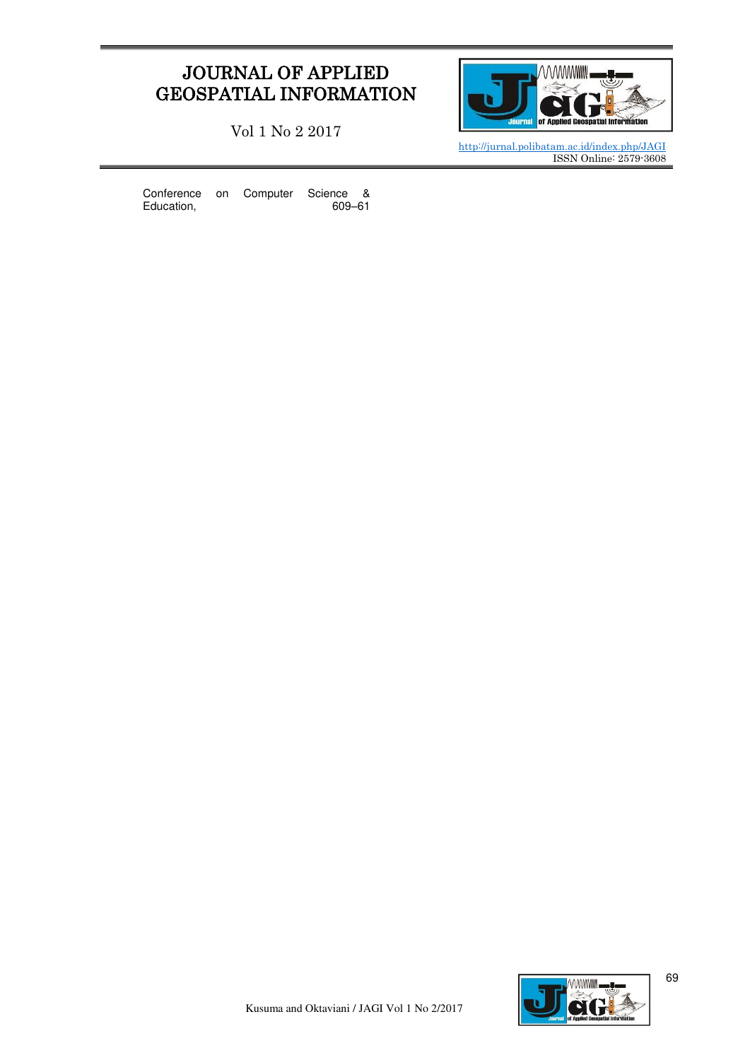Vol 1 No 2 2017



http://jurnal.polibatam.ac.id/index.php/JAGI ISSN Online: 2579-3608

Conference on Computer Science & Education,